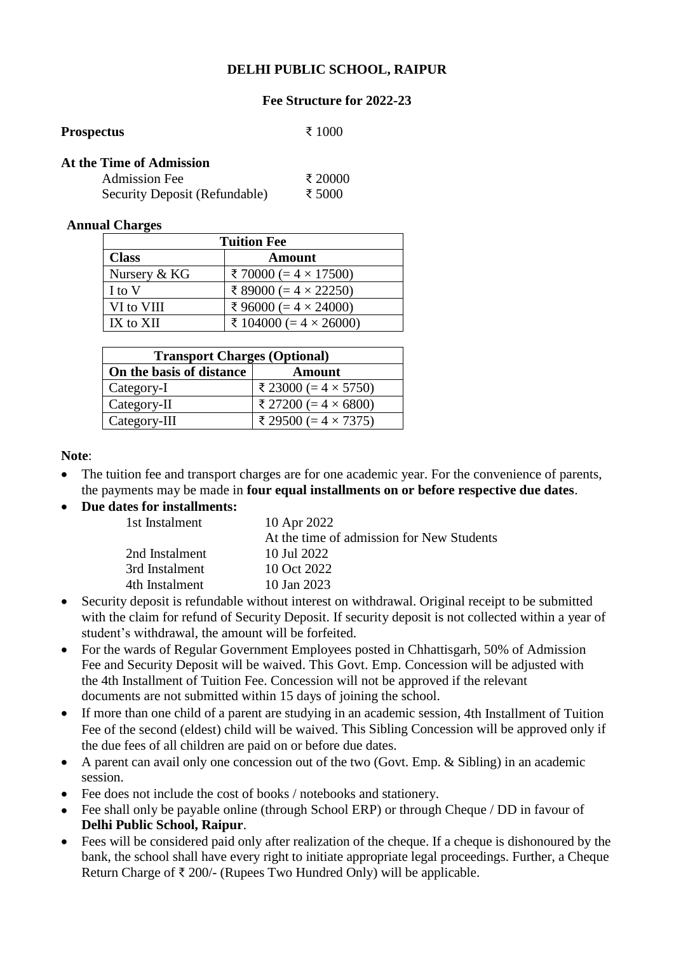# **DELHI PUBLIC SCHOOL, RAIPUR**

## **Fee Structure for 2022-23**

| <b>Prospectus</b> | ₹ 1000 |
|-------------------|--------|
|                   |        |

#### **At the Time of Admission**

| Admission Fee                        | ₹ 20000 |
|--------------------------------------|---------|
| <b>Security Deposit (Refundable)</b> | ₹ 5000  |

#### **Annual Charges**

| <b>Tuition Fee</b> |                                |  |
|--------------------|--------------------------------|--|
| <b>Class</b>       | <b>Amount</b>                  |  |
| Nursery & KG       | ₹ 70000 (= $4 \times 17500$ )  |  |
| I to V             | ₹ 89000 (= $4 \times 22250$ )  |  |
| VI to VIII         | ₹ 96000 (= $4 \times 24000$ )  |  |
| $IX$ to $XII$      | ₹ 104000 (= $4 \times 26000$ ) |  |

| <b>Transport Charges (Optional)</b> |                              |  |  |
|-------------------------------------|------------------------------|--|--|
| On the basis of distance            | Amount                       |  |  |
| Category-I                          | ₹ 23000 (= $4 \times 5750$ ) |  |  |
| Category-II                         | ₹ 27200 (= $4 \times 6800$ ) |  |  |
| Category-III                        | ₹ 29500 (= $4 \times 7375$ ) |  |  |

### **Note**:

- The tuition fee and transport charges are for one academic year. For the convenience of parents, the payments may be made in **four equal installments on or before respective due dates**.
- **Due dates for installments:**

| 1st Instalment | 10 Apr 2022                               |
|----------------|-------------------------------------------|
|                | At the time of admission for New Students |
| 2nd Instalment | 10 Jul 2022                               |
| 3rd Instalment | 10 Oct 2022                               |
| 4th Instalment | 10 Jan 2023                               |
|                |                                           |

- Security deposit is refundable without interest on withdrawal. Original receipt to be submitted with the claim for refund of Security Deposit. If security deposit is not collected within a year of student's withdrawal, the amount will be forfeited.
- For the wards of Regular Government Employees posted in Chhattisgarh, 50% of Admission Fee and Security Deposit will be waived. This Govt. Emp. Concession will be adjusted with the 4th Installment of Tuition Fee. Concession will not be approved if the relevant documents are not submitted within 15 days of joining the school.
- If more than one child of a parent are studying in an academic session, 4th Installment of Tuition Fee of the second (eldest) child will be waived. This Sibling Concession will be approved only if the due fees of all children are paid on or before due dates.
- A parent can avail only one concession out of the two (Govt. Emp. & Sibling) in an academic session.
- Fee does not include the cost of books / notebooks and stationery.
- Fee shall only be payable online (through School ERP) or through Cheque / DD in favour of **Delhi Public School, Raipur**.
- Fees will be considered paid only after realization of the cheque. If a cheque is dishonoured by the bank, the school shall have every right to initiate appropriate legal proceedings. Further, a Cheque Return Charge of ₹ 200/- (Rupees Two Hundred Only) will be applicable.